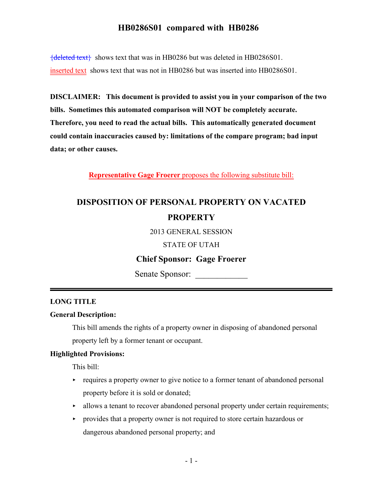${deleted text}$  shows text that was in HB0286 but was deleted in HB0286S01. inserted text shows text that was not in HB0286 but was inserted into HB0286S01.

**DISCLAIMER: This document is provided to assist you in your comparison of the two bills. Sometimes this automated comparison will NOT be completely accurate. Therefore, you need to read the actual bills. This automatically generated document could contain inaccuracies caused by: limitations of the compare program; bad input data; or other causes.**

**Representative Gage Froerer** proposes the following substitute bill:

# **DISPOSITION OF PERSONAL PROPERTY ON VACATED PROPERTY**

2013 GENERAL SESSION

STATE OF UTAH

### **Chief Sponsor: Gage Froerer**

Senate Sponsor:

### **LONG TITLE**

#### **General Description:**

This bill amends the rights of a property owner in disposing of abandoned personal property left by a former tenant or occupant.

#### **Highlighted Provisions:**

This bill:

- $\rightarrow$  requires a property owner to give notice to a former tenant of abandoned personal property before it is sold or donated;
- $\rightarrow$  allows a tenant to recover abandoned personal property under certain requirements;
- < provides that a property owner is not required to store certain hazardous or dangerous abandoned personal property; and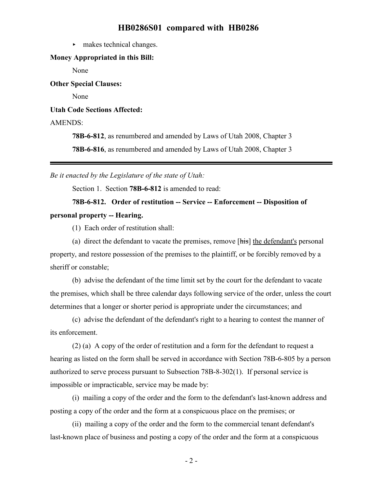$\blacktriangleright$  makes technical changes.

#### **Money Appropriated in this Bill:**

None

**Other Special Clauses:**

None

**Utah Code Sections Affected:**

AMENDS:

**78B-6-812**, as renumbered and amended by Laws of Utah 2008, Chapter 3

**78B-6-816**, as renumbered and amended by Laws of Utah 2008, Chapter 3

*Be it enacted by the Legislature of the state of Utah:*

Section 1. Section **78B-6-812** is amended to read:

## **78B-6-812. Order of restitution -- Service -- Enforcement -- Disposition of personal property -- Hearing.**

(1) Each order of restitution shall:

(a) direct the defendant to vacate the premises, remove [his] the defendant's personal property, and restore possession of the premises to the plaintiff, or be forcibly removed by a sheriff or constable;

(b) advise the defendant of the time limit set by the court for the defendant to vacate the premises, which shall be three calendar days following service of the order, unless the court determines that a longer or shorter period is appropriate under the circumstances; and

(c) advise the defendant of the defendant's right to a hearing to contest the manner of its enforcement.

(2) (a) A copy of the order of restitution and a form for the defendant to request a hearing as listed on the form shall be served in accordance with Section 78B-6-805 by a person authorized to serve process pursuant to Subsection 78B-8-302(1). If personal service is impossible or impracticable, service may be made by:

(i) mailing a copy of the order and the form to the defendant's last-known address and posting a copy of the order and the form at a conspicuous place on the premises; or

(ii) mailing a copy of the order and the form to the commercial tenant defendant's last-known place of business and posting a copy of the order and the form at a conspicuous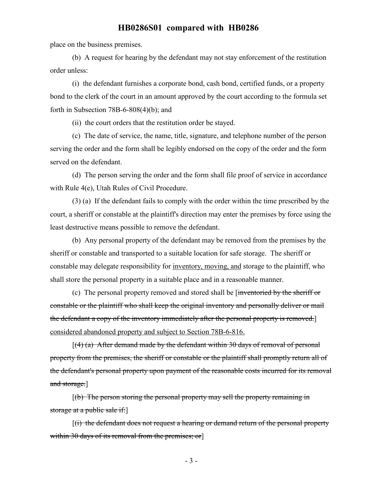place on the business premises.

(b) A request for hearing by the defendant may not stay enforcement of the restitution order unless:

(i) the defendant furnishes a corporate bond, cash bond, certified funds, or a property bond to the clerk of the court in an amount approved by the court according to the formula set forth in Subsection  $78B-6-808(4)(b)$ ; and

(ii) the court orders that the restitution order be stayed.

(c) The date of service, the name, title, signature, and telephone number of the person serving the order and the form shall be legibly endorsed on the copy of the order and the form served on the defendant.

(d) The person serving the order and the form shall file proof of service in accordance with Rule 4(e), Utah Rules of Civil Procedure.

(3) (a) If the defendant fails to comply with the order within the time prescribed by the court, a sheriff or constable at the plaintiff's direction may enter the premises by force using the least destructive means possible to remove the defendant.

(b) Any personal property of the defendant may be removed from the premises by the sheriff or constable and transported to a suitable location for safe storage. The sheriff or constable may delegate responsibility for inventory, moving, and storage to the plaintiff, who shall store the personal property in a suitable place and in a reasonable manner.

(c) The personal property removed and stored shall be [inventoried by the sheriff or constable or the plaintiff who shall keep the original inventory and personally deliver or mail the defendant a copy of the inventory immediately after the personal property is removed. considered abandoned property and subject to Section 78B-6-816.

 $[(4)$  (a) After demand made by the defendant within 30 days of removal of personal property from the premises, the sheriff or constable or the plaintiff shall promptly return all of the defendant's personal property upon payment of the reasonable costs incurred for its removal and storage.

 $[(b)$  The person storing the personal property may sell the property remaining in storage at a public sale if:

[(i) the defendant does not request a hearing or demand return of the personal property within 30 days of its removal from the premises; or]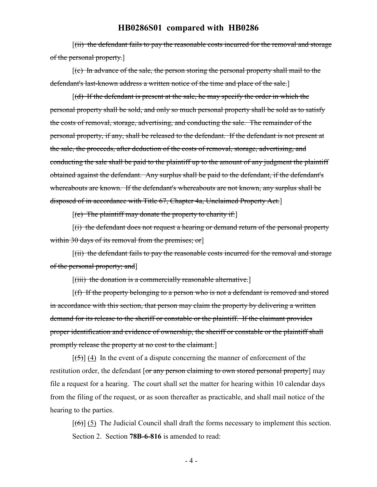[(ii) the defendant fails to pay the reasonable costs incurred for the removal and storage of the personal property.]

[(c) In advance of the sale, the person storing the personal property shall mail to the defendant's last-known address a written notice of the time and place of the sale.]

 $[(d)$  If the defendant is present at the sale, he may specify the order in which the personal property shall be sold, and only so much personal property shall be sold as to satisfy the costs of removal, storage, advertising, and conducting the sale. The remainder of the personal property, if any, shall be released to the defendant. If the defendant is not present at the sale, the proceeds, after deduction of the costs of removal, storage, advertising, and conducting the sale shall be paid to the plaintiff up to the amount of any judgment the plaintiff obtained against the defendant. Any surplus shall be paid to the defendant, if the defendant's whereabouts are known. If the defendant's whereabouts are not known, any surplus shall be disposed of in accordance with Title 67, Chapter 4a, Unclaimed Property Act.]

 $[(e)$  The plaintiff may donate the property to charity if:

 $[(i)$  the defendant does not request a hearing or demand return of the personal property within 30 days of its removal from the premises; or

[(ii) the defendant fails to pay the reasonable costs incurred for the removal and storage of the personal property; and]

 $[(iii)$  the donation is a commercially reasonable alternative.

[(f) If the property belonging to a person who is not a defendant is removed and stored in accordance with this section, that person may claim the property by delivering a written demand for its release to the sheriff or constable or the plaintiff. If the claimant provides proper identification and evidence of ownership, the sheriff or constable or the plaintiff shall promptly release the property at no cost to the claimant.]

 $[\frac{1}{5}]$  (4) In the event of a dispute concerning the manner of enforcement of the restitution order, the defendant [or any person claiming to own stored personal property] may file a request for a hearing. The court shall set the matter for hearing within 10 calendar days from the filing of the request, or as soon thereafter as practicable, and shall mail notice of the hearing to the parties.

 $[(6)]$  (5) The Judicial Council shall draft the forms necessary to implement this section. Section 2. Section **78B-6-816** is amended to read: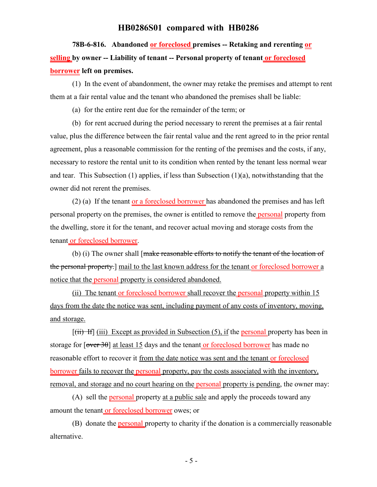# **78B-6-816. Abandoned or foreclosed premises -- Retaking and rerenting or selling by owner -- Liability of tenant -- Personal property of tenant or foreclosed borrower left on premises.**

(1) In the event of abandonment, the owner may retake the premises and attempt to rent them at a fair rental value and the tenant who abandoned the premises shall be liable:

(a) for the entire rent due for the remainder of the term; or

(b) for rent accrued during the period necessary to rerent the premises at a fair rental value, plus the difference between the fair rental value and the rent agreed to in the prior rental agreement, plus a reasonable commission for the renting of the premises and the costs, if any, necessary to restore the rental unit to its condition when rented by the tenant less normal wear and tear. This Subsection (1) applies, if less than Subsection (1)(a), notwithstanding that the owner did not rerent the premises.

(2) (a) If the tenant or a foreclosed borrower has abandoned the premises and has left personal property on the premises, the owner is entitled to remove the personal property from the dwelling, store it for the tenant, and recover actual moving and storage costs from the tenant or foreclosed borrower.

(b) (i) The owner shall [make reasonable efforts to notify the tenant of the location of the personal property.] mail to the last known address for the tenant or foreclosed borrower a notice that the personal property is considered abandoned.

(ii) The tenant or foreclosed borrower shall recover the personal property within 15 days from the date the notice was sent, including payment of any costs of inventory, moving, and storage.

 $[(iii)$  If  $(iii)$  Except as provided in Subsection (5), if the personal property has been in storage for  $\lceil \overline{\text{over }3\theta} \rceil$  at least 15 days and the tenant or foreclosed borrower has made no reasonable effort to recover it from the date notice was sent and the tenant or foreclosed borrower fails to recover the personal property, pay the costs associated with the inventory, removal, and storage and no court hearing on the personal property is pending, the owner may:

(A) sell the personal property at a public sale and apply the proceeds toward any amount the tenant or foreclosed borrower owes; or

(B) donate the personal property to charity if the donation is a commercially reasonable alternative.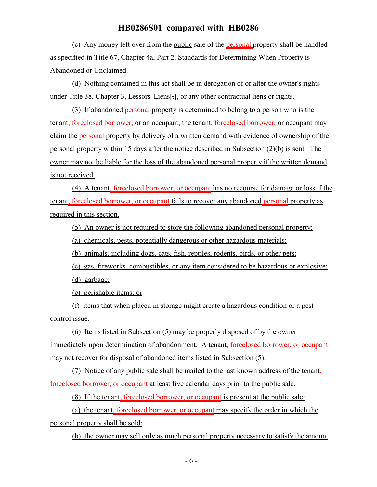(c) Any money left over from the public sale of the personal property shall be handled as specified in Title 67, Chapter 4a, Part 2, Standards for Determining When Property is Abandoned or Unclaimed.

(d) Nothing contained in this act shall be in derogation of or alter the owner's rights under Title 38, Chapter 3, Lessors' Liens[.], or any other contractual liens or rights.

(3) If abandoned personal property is determined to belong to a person who is the tenant, foreclosed borrower, or an occupant, the tenant, foreclosed borrower, or occupant may claim the personal property by delivery of a written demand with evidence of ownership of the personal property within 15 days after the notice described in Subsection (2)(b) is sent. The owner may not be liable for the loss of the abandoned personal property if the written demand is not received.

(4) A tenant, foreclosed borrower, or occupant has no recourse for damage or loss if the tenant, foreclosed borrower, or occupant fails to recover any abandoned personal property as required in this section.

(5) An owner is not required to store the following abandoned personal property:

(a) chemicals, pests, potentially dangerous or other hazardous materials;

(b) animals, including dogs, cats, fish, reptiles, rodents, birds, or other pets;

(c) gas, fireworks, combustibles, or any item considered to be hazardous or explosive;

(d) garbage;

(e) perishable items; or

(f) items that when placed in storage might create a hazardous condition or a pest control issue.

(6) Items listed in Subsection (5) may be properly disposed of by the owner immediately upon determination of abandonment. A tenant, foreclosed borrower, or occupant may not recover for disposal of abandoned items listed in Subsection (5).

(7) Notice of any public sale shall be mailed to the last known address of the tenant, foreclosed borrower, or occupant at least five calendar days prior to the public sale.

(8) If the tenant, foreclosed borrower, or occupant is present at the public sale:

(a) the tenant, foreclosed borrower, or occupant may specify the order in which the personal property shall be sold;

(b) the owner may sell only as much personal property necessary to satisfy the amount